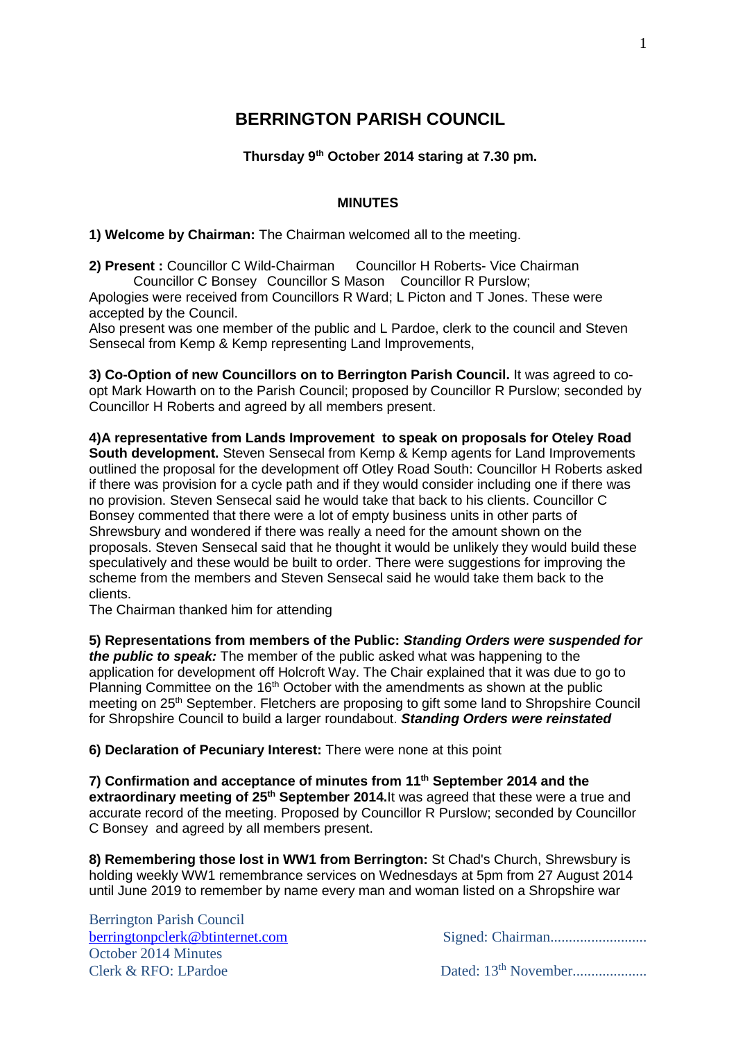# **BERRINGTON PARISH COUNCIL**

## **Thursday 9 th October 2014 staring at 7.30 pm.**

#### **MINUTES**

**1) Welcome by Chairman:** The Chairman welcomed all to the meeting.

**2) Present :** Councillor C Wild-Chairman Councillor H Roberts- Vice Chairman Councillor C Bonsey Councillor S Mason Councillor R Purslow; Apologies were received from Councillors R Ward; L Picton and T Jones. These were accepted by the Council.

Also present was one member of the public and L Pardoe, clerk to the council and Steven Sensecal from Kemp & Kemp representing Land Improvements,

**3) Co-Option of new Councillors on to Berrington Parish Council.** It was agreed to coopt Mark Howarth on to the Parish Council; proposed by Councillor R Purslow; seconded by Councillor H Roberts and agreed by all members present.

**4)A representative from Lands Improvement to speak on proposals for Oteley Road South development.** Steven Sensecal from Kemp & Kemp agents for Land Improvements outlined the proposal for the development off Otley Road South: Councillor H Roberts asked if there was provision for a cycle path and if they would consider including one if there was no provision. Steven Sensecal said he would take that back to his clients. Councillor C Bonsey commented that there were a lot of empty business units in other parts of Shrewsbury and wondered if there was really a need for the amount shown on the proposals. Steven Sensecal said that he thought it would be unlikely they would build these speculatively and these would be built to order. There were suggestions for improving the scheme from the members and Steven Sensecal said he would take them back to the clients.

The Chairman thanked him for attending

**5) Representations from members of the Public:** *Standing Orders were suspended for the public to speak:* The member of the public asked what was happening to the application for development off Holcroft Way. The Chair explained that it was due to go to Planning Committee on the 16<sup>th</sup> October with the amendments as shown at the public meeting on 25<sup>th</sup> September. Fletchers are proposing to gift some land to Shropshire Council for Shropshire Council to build a larger roundabout. *Standing Orders were reinstated*

**6) Declaration of Pecuniary Interest:** There were none at this point

**7) Confirmation and acceptance of minutes from 11 th September 2014 and the extraordinary meeting of 25th September 2014.**It was agreed that these were a true and accurate record of the meeting. Proposed by Councillor R Purslow; seconded by Councillor C Bonsey and agreed by all members present.

**8) Remembering those lost in WW1 from Berrington:** St Chad's Church, Shrewsbury is holding weekly WW1 remembrance services on Wednesdays at 5pm from 27 August 2014 until June 2019 to remember by name every man and woman listed on a Shropshire war

Berrington Parish Council October 2014 Minutes Clerk & RFO: LPardoe Dated: 13th November....................

[berringtonpclerk@btinternet.com](mailto:berringtonpclerk@btinternet.com) Signed: Chairman................................

1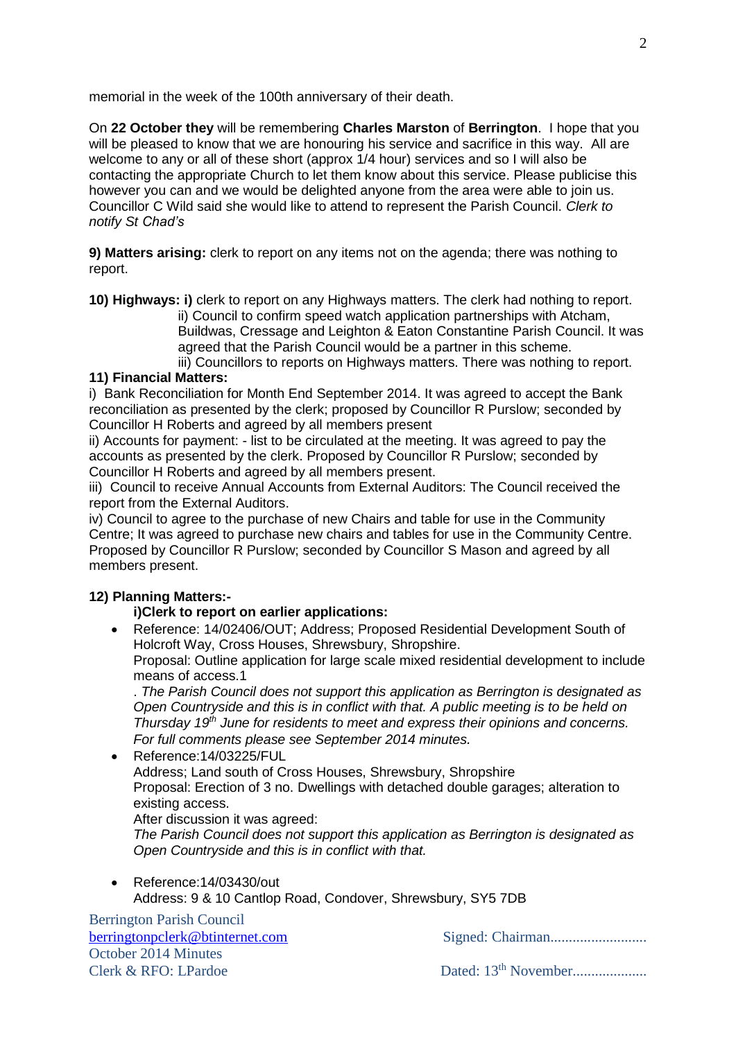memorial in the week of the 100th anniversary of their death.

On **22 October they** will be remembering **Charles Marston** of **Berrington**. I hope that you will be pleased to know that we are honouring his service and sacrifice in this way. All are welcome to any or all of these short (approx 1/4 hour) services and so I will also be contacting the appropriate Church to let them know about this service. Please publicise this however you can and we would be delighted anyone from the area were able to join us. Councillor C Wild said she would like to attend to represent the Parish Council. *Clerk to notify St Chad's*

**9) Matters arising:** clerk to report on any items not on the agenda; there was nothing to report.

**10) Highways: i)** clerk to report on any Highways matters. The clerk had nothing to report.

ii) Council to confirm speed watch application partnerships with Atcham, Buildwas, Cressage and Leighton & Eaton Constantine Parish Council. It was agreed that the Parish Council would be a partner in this scheme.

iii) Councillors to reports on Highways matters. There was nothing to report. **11) Financial Matters:**

i) Bank Reconciliation for Month End September 2014. It was agreed to accept the Bank reconciliation as presented by the clerk; proposed by Councillor R Purslow; seconded by Councillor H Roberts and agreed by all members present

ii) Accounts for payment: - list to be circulated at the meeting. It was agreed to pay the accounts as presented by the clerk. Proposed by Councillor R Purslow; seconded by Councillor H Roberts and agreed by all members present.

iii) Council to receive Annual Accounts from External Auditors: The Council received the report from the External Auditors.

iv) Council to agree to the purchase of new Chairs and table for use in the Community Centre; It was agreed to purchase new chairs and tables for use in the Community Centre. Proposed by Councillor R Purslow; seconded by Councillor S Mason and agreed by all members present.

## **12) Planning Matters:-**

### **i)Clerk to report on earlier applications:**

 Reference: 14/02406/OUT; Address; Proposed Residential Development South of Holcroft Way, Cross Houses, Shrewsbury, Shropshire. Proposal: Outline application for large scale mixed residential development to include means of access.1

. *The Parish Council does not support this application as Berrington is designated as Open Countryside and this is in conflict with that. A public meeting is to be held on Thursday 19th June for residents to meet and express their opinions and concerns. For full comments please see September 2014 minutes.*

● Reference:14/03225/FUL Address; Land south of Cross Houses, Shrewsbury, Shropshire Proposal: Erection of 3 no. Dwellings with detached double garages; alteration to existing access. After discussion it was agreed:

*The Parish Council does not support this application as Berrington is designated as Open Countryside and this is in conflict with that.* 

 Reference:14/03430/out Address: 9 & 10 Cantlop Road, Condover, Shrewsbury, SY5 7DB

Berrington Parish Council October 2014 Minutes Clerk & RFO: LPardoe Dated: 13th November....................

[berringtonpclerk@btinternet.com](mailto:berringtonpclerk@btinternet.com) Signed: Chairman................................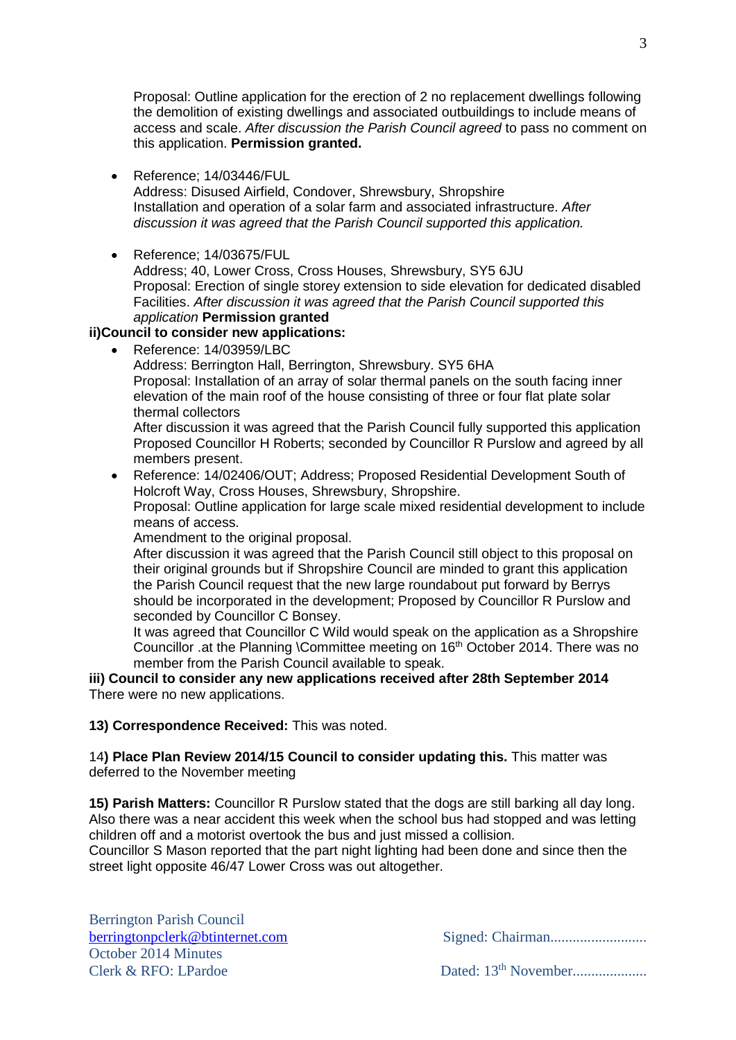Proposal: Outline application for the erection of 2 no replacement dwellings following the demolition of existing dwellings and associated outbuildings to include means of access and scale. *After discussion the Parish Council agreed* to pass no comment on this application. **Permission granted.**

Reference; 14/03446/FUL

Address: Disused Airfield, Condover, Shrewsbury, Shropshire Installation and operation of a solar farm and associated infrastructure. *After discussion it was agreed that the Parish Council supported this application.*

● Reference: 14/03675/FUL Address; 40, Lower Cross, Cross Houses, Shrewsbury, SY5 6JU Proposal: Erection of single storey extension to side elevation for dedicated disabled Facilities. *After discussion it was agreed that the Parish Council supported this application* **Permission granted**

## **ii)Council to consider new applications:**

Reference: 14/03959/LBC

Address: Berrington Hall, Berrington, Shrewsbury. SY5 6HA Proposal: Installation of an array of solar thermal panels on the south facing inner elevation of the main roof of the house consisting of three or four flat plate solar thermal collectors

After discussion it was agreed that the Parish Council fully supported this application Proposed Councillor H Roberts; seconded by Councillor R Purslow and agreed by all members present.

 Reference: 14/02406/OUT; Address; Proposed Residential Development South of Holcroft Way, Cross Houses, Shrewsbury, Shropshire. Proposal: Outline application for large scale mixed residential development to include means of access.

Amendment to the original proposal.

After discussion it was agreed that the Parish Council still object to this proposal on their original grounds but if Shropshire Council are minded to grant this application the Parish Council request that the new large roundabout put forward by Berrys should be incorporated in the development; Proposed by Councillor R Purslow and seconded by Councillor C Bonsey.

It was agreed that Councillor C Wild would speak on the application as a Shropshire Councillor .at the Planning \Committee meeting on 16<sup>th</sup> October 2014. There was no member from the Parish Council available to speak.

**iii) Council to consider any new applications received after 28th September 2014** There were no new applications.

### **13) Correspondence Received:** This was noted.

14**) Place Plan Review 2014/15 Council to consider updating this.** This matter was deferred to the November meeting

**15) Parish Matters:** Councillor R Purslow stated that the dogs are still barking all day long. Also there was a near accident this week when the school bus had stopped and was letting children off and a motorist overtook the bus and just missed a collision.

Councillor S Mason reported that the part night lighting had been done and since then the street light opposite 46/47 Lower Cross was out altogether.

Berrington Parish Council October 2014 Minutes Clerk & RFO: LPardoe Dated: 13th November....................

[berringtonpclerk@btinternet.com](mailto:berringtonpclerk@btinternet.com) Signed: Chairman................................